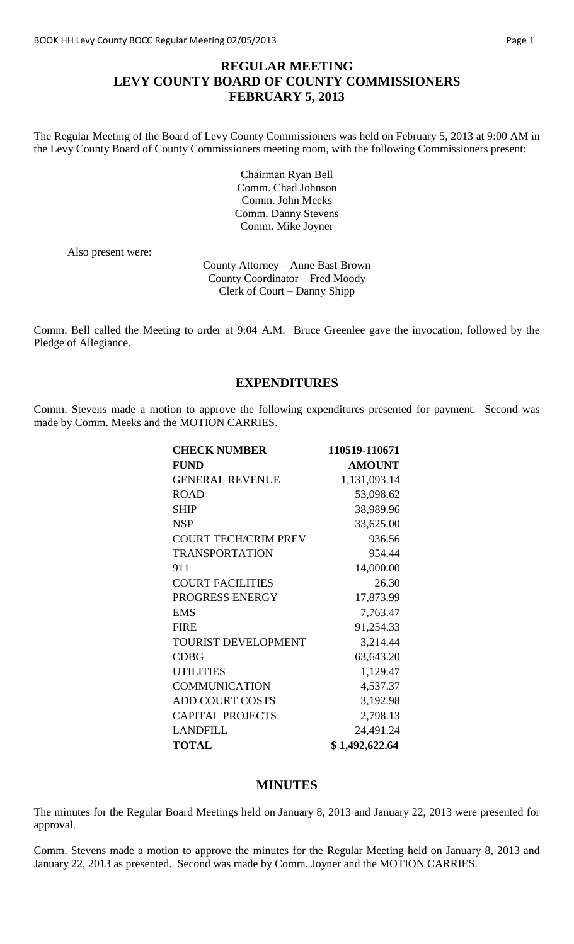# **REGULAR MEETING LEVY COUNTY BOARD OF COUNTY COMMISSIONERS FEBRUARY 5, 2013**

The Regular Meeting of the Board of Levy County Commissioners was held on February 5, 2013 at 9:00 AM in the Levy County Board of County Commissioners meeting room, with the following Commissioners present:

> Chairman Ryan Bell Comm. Chad Johnson Comm. John Meeks Comm. Danny Stevens Comm. Mike Joyner

Also present were:

County Attorney – Anne Bast Brown County Coordinator – Fred Moody Clerk of Court – Danny Shipp

Comm. Bell called the Meeting to order at 9:04 A.M. Bruce Greenlee gave the invocation, followed by the Pledge of Allegiance.

## **EXPENDITURES**

Comm. Stevens made a motion to approve the following expenditures presented for payment. Second was made by Comm. Meeks and the MOTION CARRIES.

| <b>CHECK NUMBER</b>         | 110519-110671  |
|-----------------------------|----------------|
| <b>FUND</b>                 | <b>AMOUNT</b>  |
| <b>GENERAL REVENUE</b>      | 1,131,093.14   |
| <b>ROAD</b>                 | 53,098.62      |
| <b>SHIP</b>                 | 38,989.96      |
| <b>NSP</b>                  | 33,625.00      |
| <b>COURT TECH/CRIM PREV</b> | 936.56         |
| <b>TRANSPORTATION</b>       | 954.44         |
| 911                         | 14,000.00      |
| <b>COURT FACILITIES</b>     | 26.30          |
| PROGRESS ENERGY             | 17,873.99      |
| <b>EMS</b>                  | 7,763.47       |
| <b>FIRE</b>                 | 91,254.33      |
| <b>TOURIST DEVELOPMENT</b>  | 3,214.44       |
| <b>CDBG</b>                 | 63,643.20      |
| <b>UTILITIES</b>            | 1,129.47       |
| <b>COMMUNICATION</b>        | 4,537.37       |
| <b>ADD COURT COSTS</b>      | 3,192.98       |
| <b>CAPITAL PROJECTS</b>     | 2,798.13       |
| <b>LANDFILL</b>             | 24,491.24      |
| <b>TOTAL</b>                | \$1,492,622.64 |

#### **MINUTES**

The minutes for the Regular Board Meetings held on January 8, 2013 and January 22, 2013 were presented for approval.

Comm. Stevens made a motion to approve the minutes for the Regular Meeting held on January 8, 2013 and January 22, 2013 as presented. Second was made by Comm. Joyner and the MOTION CARRIES.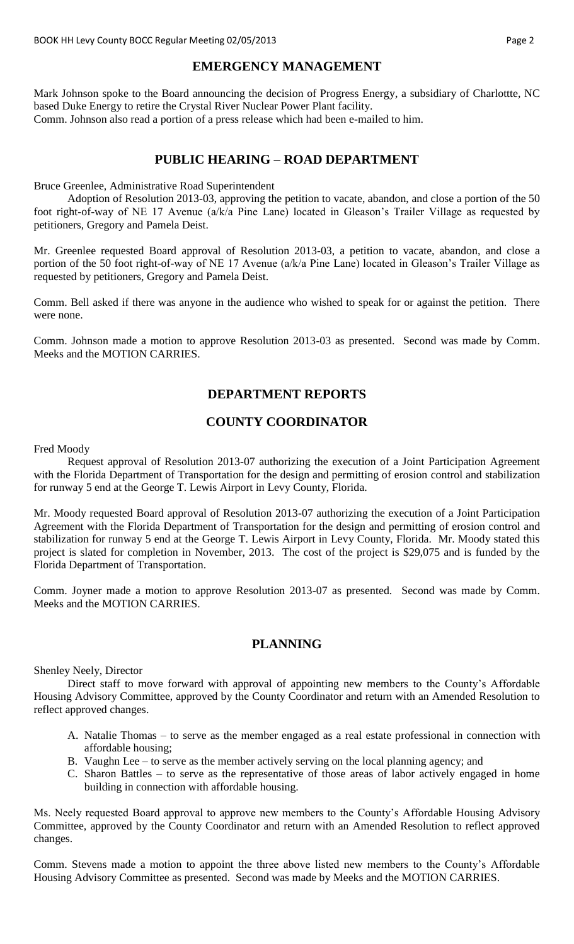#### **EMERGENCY MANAGEMENT**

Mark Johnson spoke to the Board announcing the decision of Progress Energy, a subsidiary of Charlottte, NC based Duke Energy to retire the Crystal River Nuclear Power Plant facility. Comm. Johnson also read a portion of a press release which had been e-mailed to him.

## **PUBLIC HEARING – ROAD DEPARTMENT**

Bruce Greenlee, Administrative Road Superintendent

Adoption of Resolution 2013-03, approving the petition to vacate, abandon, and close a portion of the 50 foot right-of-way of NE 17 Avenue (a/k/a Pine Lane) located in Gleason's Trailer Village as requested by petitioners, Gregory and Pamela Deist.

Mr. Greenlee requested Board approval of Resolution 2013-03, a petition to vacate, abandon, and close a portion of the 50 foot right-of-way of NE 17 Avenue (a/k/a Pine Lane) located in Gleason's Trailer Village as requested by petitioners, Gregory and Pamela Deist.

Comm. Bell asked if there was anyone in the audience who wished to speak for or against the petition. There were none.

Comm. Johnson made a motion to approve Resolution 2013-03 as presented. Second was made by Comm. Meeks and the MOTION CARRIES.

# **DEPARTMENT REPORTS**

# **COUNTY COORDINATOR**

Fred Moody

Request approval of Resolution 2013-07 authorizing the execution of a Joint Participation Agreement with the Florida Department of Transportation for the design and permitting of erosion control and stabilization for runway 5 end at the George T. Lewis Airport in Levy County, Florida.

Mr. Moody requested Board approval of Resolution 2013-07 authorizing the execution of a Joint Participation Agreement with the Florida Department of Transportation for the design and permitting of erosion control and stabilization for runway 5 end at the George T. Lewis Airport in Levy County, Florida. Mr. Moody stated this project is slated for completion in November, 2013. The cost of the project is \$29,075 and is funded by the Florida Department of Transportation.

Comm. Joyner made a motion to approve Resolution 2013-07 as presented. Second was made by Comm. Meeks and the MOTION CARRIES.

# **PLANNING**

Shenley Neely, Director

Direct staff to move forward with approval of appointing new members to the County's Affordable Housing Advisory Committee, approved by the County Coordinator and return with an Amended Resolution to reflect approved changes.

- A. Natalie Thomas to serve as the member engaged as a real estate professional in connection with affordable housing;
- B. Vaughn Lee to serve as the member actively serving on the local planning agency; and
- C. Sharon Battles to serve as the representative of those areas of labor actively engaged in home building in connection with affordable housing.

Ms. Neely requested Board approval to approve new members to the County's Affordable Housing Advisory Committee, approved by the County Coordinator and return with an Amended Resolution to reflect approved changes.

Comm. Stevens made a motion to appoint the three above listed new members to the County's Affordable Housing Advisory Committee as presented. Second was made by Meeks and the MOTION CARRIES.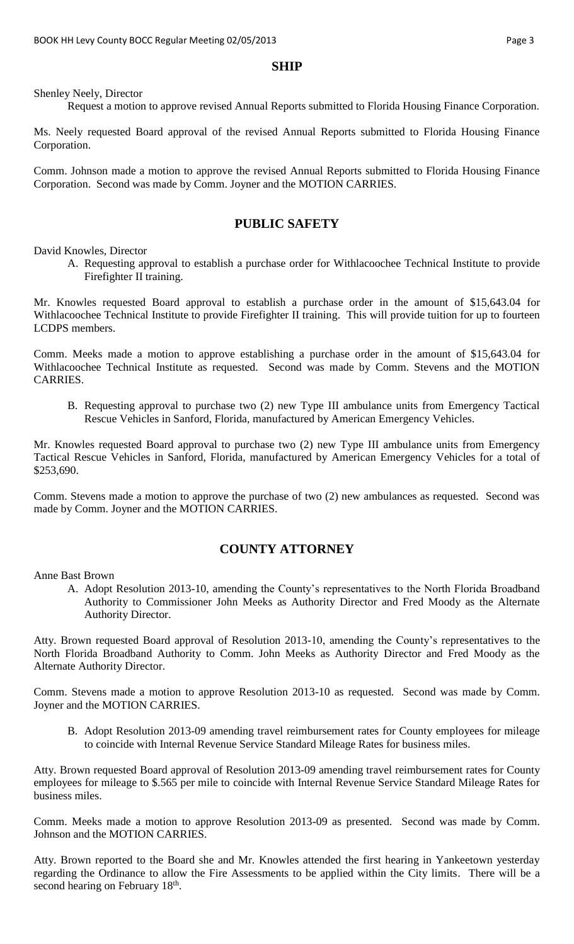#### **SHIP**

Shenley Neely, Director

Request a motion to approve revised Annual Reports submitted to Florida Housing Finance Corporation.

Ms. Neely requested Board approval of the revised Annual Reports submitted to Florida Housing Finance Corporation.

Comm. Johnson made a motion to approve the revised Annual Reports submitted to Florida Housing Finance Corporation. Second was made by Comm. Joyner and the MOTION CARRIES.

## **PUBLIC SAFETY**

David Knowles, Director

A. Requesting approval to establish a purchase order for Withlacoochee Technical Institute to provide Firefighter II training.

Mr. Knowles requested Board approval to establish a purchase order in the amount of \$15,643.04 for Withlacoochee Technical Institute to provide Firefighter II training. This will provide tuition for up to fourteen LCDPS members.

Comm. Meeks made a motion to approve establishing a purchase order in the amount of \$15,643.04 for Withlacoochee Technical Institute as requested. Second was made by Comm. Stevens and the MOTION CARRIES.

B. Requesting approval to purchase two (2) new Type III ambulance units from Emergency Tactical Rescue Vehicles in Sanford, Florida, manufactured by American Emergency Vehicles.

Mr. Knowles requested Board approval to purchase two (2) new Type III ambulance units from Emergency Tactical Rescue Vehicles in Sanford, Florida, manufactured by American Emergency Vehicles for a total of \$253,690.

Comm. Stevens made a motion to approve the purchase of two (2) new ambulances as requested. Second was made by Comm. Joyner and the MOTION CARRIES.

#### **COUNTY ATTORNEY**

Anne Bast Brown

A. Adopt Resolution 2013-10, amending the County's representatives to the North Florida Broadband Authority to Commissioner John Meeks as Authority Director and Fred Moody as the Alternate Authority Director.

Atty. Brown requested Board approval of Resolution 2013-10, amending the County's representatives to the North Florida Broadband Authority to Comm. John Meeks as Authority Director and Fred Moody as the Alternate Authority Director.

Comm. Stevens made a motion to approve Resolution 2013-10 as requested. Second was made by Comm. Joyner and the MOTION CARRIES.

B. Adopt Resolution 2013-09 amending travel reimbursement rates for County employees for mileage to coincide with Internal Revenue Service Standard Mileage Rates for business miles.

Atty. Brown requested Board approval of Resolution 2013-09 amending travel reimbursement rates for County employees for mileage to \$.565 per mile to coincide with Internal Revenue Service Standard Mileage Rates for business miles.

Comm. Meeks made a motion to approve Resolution 2013-09 as presented. Second was made by Comm. Johnson and the MOTION CARRIES.

Atty. Brown reported to the Board she and Mr. Knowles attended the first hearing in Yankeetown yesterday regarding the Ordinance to allow the Fire Assessments to be applied within the City limits. There will be a second hearing on February 18<sup>th</sup>.